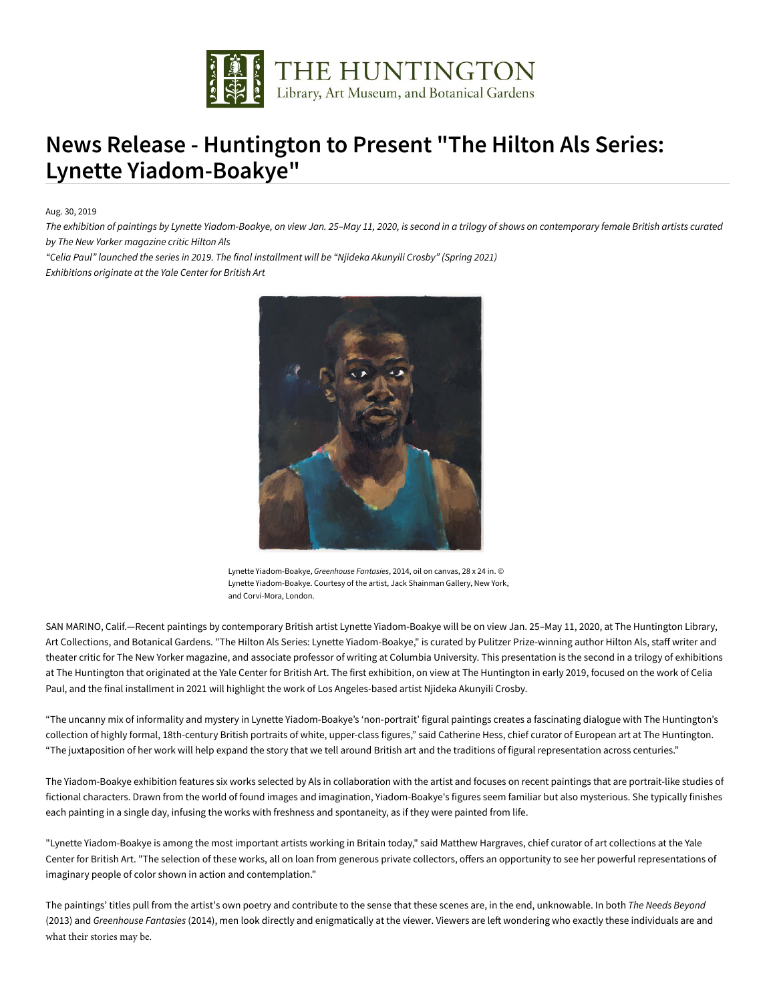

## **News Release - Huntington to Present "The Hilton Als Series: Lynette Yiadom-Boakye"**

Aug. 30, 2019

*The exhibition of paintings by Lynette Yiadom-Boakye, on view Jan. 25–May 11, 2020, is second in a trilogy of shows on contemporary female British artists curated by The New Yorker magazine critic Hilton Als* 

*"Celia Paul" launched the series in 2019. The final installment will be "Njideka Akunyili Crosby" (Spring 2021) Exhibitions originate at the Yale Center for British Art*



Lynette Yiadom-Boakye, *Greenhouse Fantasies*, 2014, oil on canvas, 28 x 24 in. © Lynette Yiadom-Boakye. Courtesy of the artist, Jack Shainman Gallery, New York, and Corvi-Mora, London.

SAN MARINO, Calif.—Recent paintings by contemporary British artist Lynette Yiadom-Boakye will be on view Jan. 25–May 11, 2020, at The Huntington Library, Art Collections, and Botanical Gardens. "The Hilton Als Series: Lynette Yiadom-Boakye," is curated by Pulitzer Prize-winning author Hilton Als, staff writer and theater critic for The New Yorker magazine, and associate professor of writing at Columbia University. This presentation is the second in a trilogy of exhibitions at The Huntington that originated at the Yale Center for British Art. The first exhibition, on view at The Huntington in early 2019, focused on the work of Celia Paul, and the final installment in 2021 will highlight the work of Los Angeles-based artist Njideka Akunyili Crosby.

"The uncanny mix of informality and mystery in Lynette Yiadom-Boakye's 'non-portrait' figural paintings creates a fascinating dialogue with The Huntington's collection of highly formal, 18th-century British portraits of white, upper-class figures," said Catherine Hess, chief curator of European art at The Huntington. "The juxtaposition of her work will help expand the story that we tell around British art and the traditions of figural representation across centuries."

The Yiadom-Boakye exhibition features six works selected by Als in collaboration with the artist and focuses on recent paintings that are portrait-like studies of fictional characters. Drawn from the world of found images and imagination, Yiadom-Boakye's figures seem familiar but also mysterious. She typically finishes each painting in a single day, infusing the works with freshness and spontaneity, as if they were painted from life.

"Lynette Yiadom-Boakye is among the most important artists working in Britain today," said Matthew Hargraves, chief curator of art collections at the Yale Center for British Art. "The selection of these works, all on loan from generous private collectors, offers an opportunity to see her powerful representations of imaginary people of color shown in action and contemplation."

The paintings' titles pull from the artist's own poetry and contribute to the sense that these scenes are, in the end, unknowable. In both *The Needs Beyond* (2013) and *Greenhouse Fantasies* (2014), men look directly and enigmatically at the viewer. Viewers are left wondering who exactly these individuals are and what their stories may be.